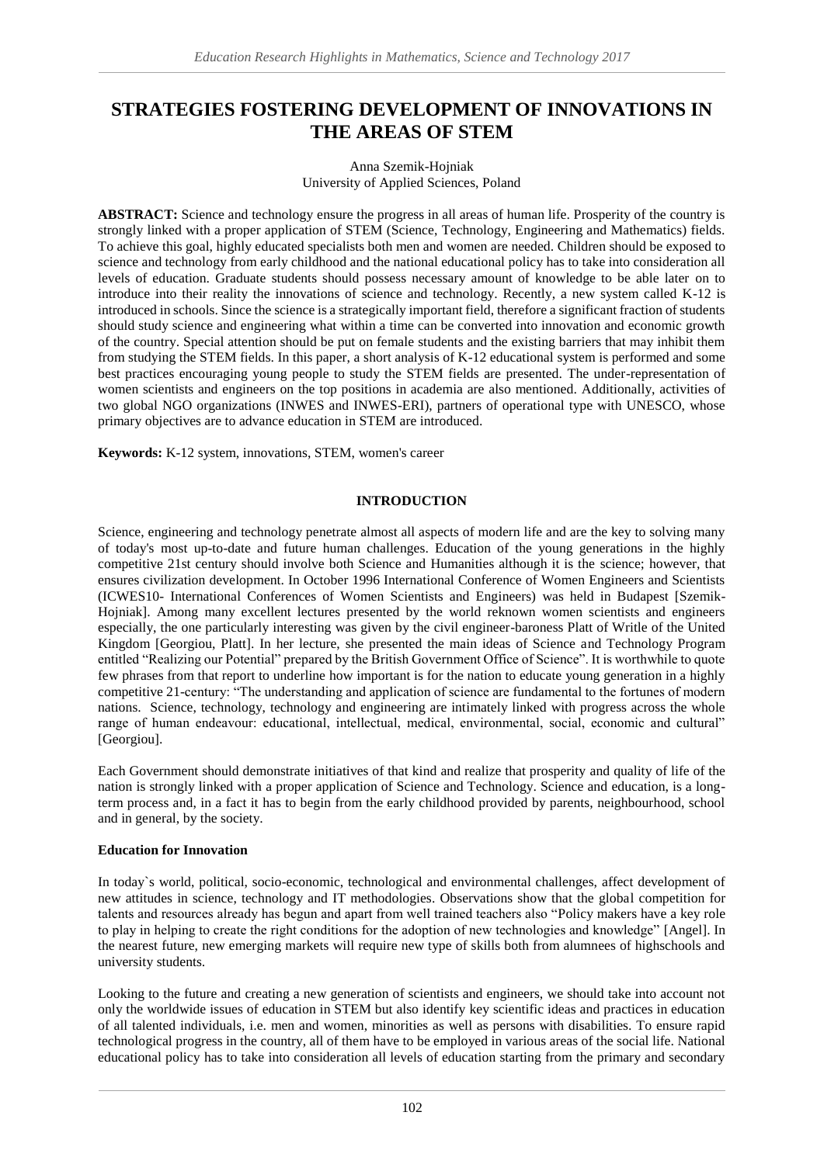# **STRATEGIES FOSTERING DEVELOPMENT OF INNOVATIONS IN THE AREAS OF STEM**

#### Anna Szemik-Hojniak University of Applied Sciences, Poland

**ABSTRACT:** Science and technology ensure the progress in all areas of human life. Prosperity of the country is strongly linked with a proper application of STEM (Science, Technology, Engineering and Mathematics) fields. To achieve this goal, highly educated specialists both men and women are needed. Children should be exposed to science and technology from early childhood and the national educational policy has to take into consideration all levels of education. Graduate students should possess necessary amount of knowledge to be able later on to introduce into their reality the innovations of science and technology. Recently, a new system called K-12 is introduced in schools. Since the science is a strategically important field, therefore a significant fraction of students should study science and engineering what within a time can be converted into innovation and economic growth of the country. Special attention should be put on female students and the existing barriers that may inhibit them from studying the STEM fields. In this paper, a short analysis of K-12 educational system is performed and some best practices encouraging young people to study the STEM fields are presented. The under-representation of women scientists and engineers on the top positions in academia are also mentioned. Additionally, activities of two global NGO organizations (INWES and INWES-ERI), partners of operational type with UNESCO, whose primary objectives are to advance education in STEM are introduced.

**Keywords:** K-12 system, innovations, STEM, women's career

#### **INTRODUCTION**

Science, engineering and technology penetrate almost all aspects of modern life and are the key to solving many of today's most up-to-date and future human challenges. Education of the young generations in the highly competitive 21st century should involve both Science and Humanities although it is the science; however, that ensures civilization development. In October 1996 International Conference of Women Engineers and Scientists (ICWES10- International Conferences of Women Scientists and Engineers) was held in Budapest [Szemik-Hojniak]. Among many excellent lectures presented by the world reknown women scientists and engineers especially, the one particularly interesting was given by the civil engineer-baroness Platt of Writle of the United Kingdom [Georgiou, Platt]. In her lecture, she presented the main ideas of Science and Technology Program entitled "Realizing our Potential" prepared by the British Government Office of Science". It is worthwhile to quote few phrases from that report to underline how important is for the nation to educate young generation in a highly competitive 21-century: "The understanding and application of science are fundamental to the fortunes of modern nations. Science, technology, technology and engineering are intimately linked with progress across the whole range of human endeavour: educational, intellectual, medical, environmental, social, economic and cultural" [Georgiou].

Each Government should demonstrate initiatives of that kind and realize that prosperity and quality of life of the nation is strongly linked with a proper application of Science and Technology. Science and education, is a longterm process and, in a fact it has to begin from the early childhood provided by parents, neighbourhood, school and in general, by the society.

# **Education for Innovation**

In today`s world, political, socio-economic, technological and environmental challenges, affect development of new attitudes in science, technology and IT methodologies. Observations show that the global competition for talents and resources already has begun and apart from well trained teachers also "Policy makers have a key role to play in helping to create the right conditions for the adoption of new technologies and knowledge" [Angel]. In the nearest future, new emerging markets will require new type of skills both from alumnees of highschools and university students.

Looking to the future and creating a new generation of scientists and engineers, we should take into account not only the worldwide issues of education in STEM but also identify key scientific ideas and practices in education of all talented individuals, i.e. men and women, minorities as well as persons with disabilities. To ensure rapid technological progress in the country, all of them have to be employed in various areas of the social life. National educational policy has to take into consideration all levels of education starting from the primary and secondary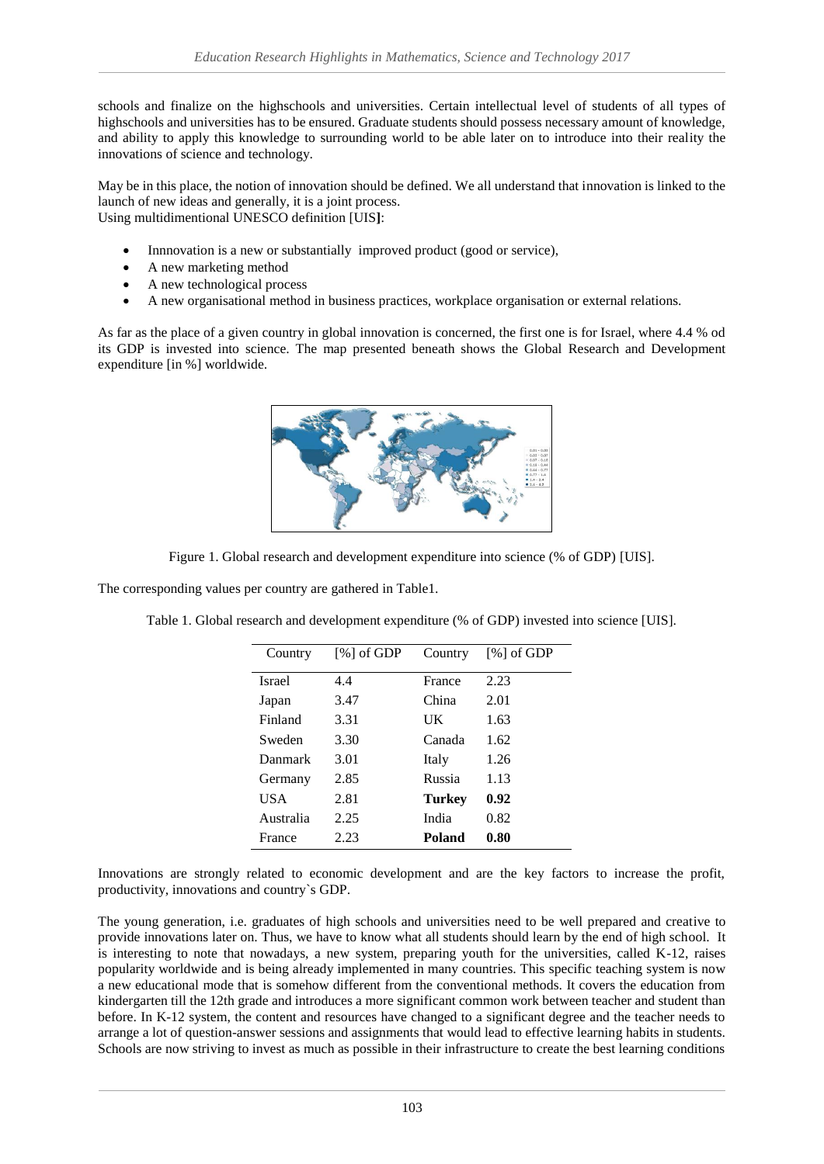schools and finalize on the highschools and universities. Certain intellectual level of students of all types of highschools and universities has to be ensured. Graduate students should possess necessary amount of knowledge, and ability to apply this knowledge to surrounding world to be able later on to introduce into their reality the innovations of science and technology.

May be in this place, the notion of innovation should be defined. We all understand that innovation is linked to the launch of new ideas and generally, it is a joint process. Using multidimentional UNESCO definition [UIS**]**:

- Innnovation is a new or substantially improved product (good or service),
- A new marketing method
- A new technological process
- A new organisational method in business practices, workplace organisation or external relations.

As far as the place of a given country in global innovation is concerned, the first one is for Israel, where 4.4 % od its GDP is invested into science. The map presented beneath shows the Global Research and Development expenditure [in %] worldwide.



Figure 1. Global research and development expenditure into science (% of GDP) [UIS].

The corresponding values per country are gathered in Table1.

| Country       | $[%]$ of GDP | Country | $[\%]$ of GDP |
|---------------|--------------|---------|---------------|
| <b>Israel</b> | 4.4          | France  | 2.23          |
| Japan         | 3.47         | China   | 2.01          |
| Finland       | 3.31         | UK      | 1.63          |
| Sweden        | 3.30         | Canada  | 1.62          |
| Danmark       | 3.01         | Italy   | 1.26          |
| Germany       | 2.85         | Russia  | 1.13          |
| <b>USA</b>    | 2.81         | Turkev  | 0.92          |
| Australia     | 2.25         | India   | 0.82          |
| France        | 2.23         | Poland  | 0.80          |
|               |              |         |               |

Table 1. Global research and development expenditure (% of GDP) invested into science [UIS].

Innovations are strongly related to economic development and are the key factors to increase the profit, productivity, innovations and country`s GDP.

The young generation, i.e. graduates of high schools and universities need to be well prepared and creative to provide innovations later on. Thus, we have to know what all students should learn by the end of high school. It is interesting to note that nowadays, a new system, preparing youth for the universities, called K-12, raises popularity worldwide and is being already implemented in many countries. This specific teaching system is now a new educational mode that is somehow different from the conventional methods. It covers the education from kindergarten till the 12th grade and introduces a more significant common work between teacher and student than before. In K-12 system, the content and resources have changed to a significant degree and the teacher needs to arrange a lot of question-answer sessions and assignments that would lead to effective learning habits in students. Schools are now striving to invest as much as possible in their infrastructure to create the best learning conditions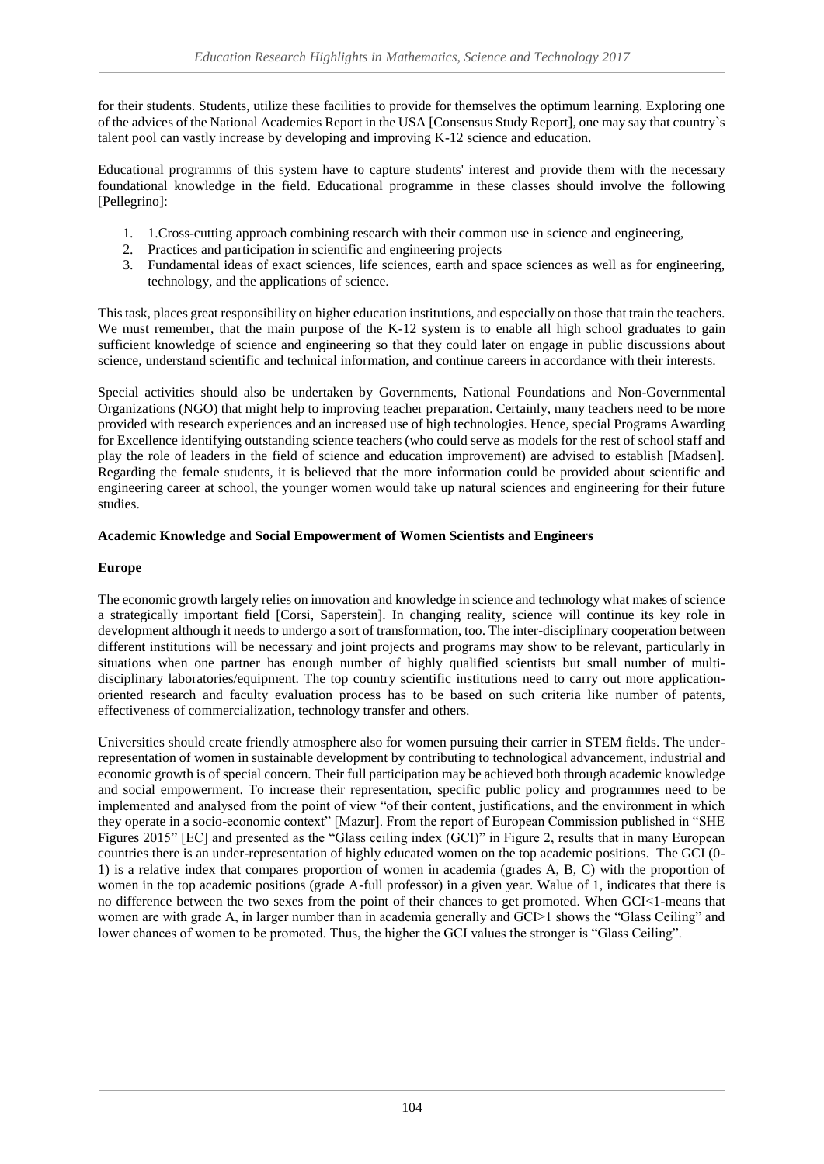for their students. Students, utilize these facilities to provide for themselves the optimum learning. Exploring one of the advices of the National Academies Report in the USA [Consensus Study Report], one may say that country`s talent pool can vastly increase by developing and improving K-12 science and education.

Educational programms of this system have to capture students' interest and provide them with the necessary foundational knowledge in the field. Educational programme in these classes should involve the following [Pellegrino]:

- 1. 1.Cross-cutting approach combining research with their common use in science and engineering,
- 2. Practices and participation in scientific and engineering projects
- 3. Fundamental ideas of exact sciences, life sciences, earth and space sciences as well as for engineering, technology, and the applications of science.

This task, places great responsibility on higher education institutions, and especially on those that train the teachers. We must remember, that the main purpose of the K-12 system is to enable all high school graduates to gain sufficient knowledge of science and engineering so that they could later on engage in public discussions about science, understand scientific and technical information, and continue careers in accordance with their interests.

Special activities should also be undertaken by Governments, National Foundations and Non-Governmental Organizations (NGO) that might help to improving teacher preparation. Certainly, many teachers need to be more provided with research experiences and an increased use of high technologies. Hence, special Programs Awarding for Excellence identifying outstanding science teachers (who could serve as models for the rest of school staff and play the role of leaders in the field of science and education improvement) are advised to establish [Madsen]. Regarding the female students, it is believed that the more information could be provided about scientific and engineering career at school, the younger women would take up natural sciences and engineering for their future studies.

# **Academic Knowledge and Social Empowerment of Women Scientists and Engineers**

# **Europe**

The economic growth largely relies on innovation and knowledge in science and technology what makes of science a strategically important field [Corsi, Saperstein]. In changing reality, science will continue its key role in development although it needs to undergo a sort of transformation, too. The inter-disciplinary cooperation between different institutions will be necessary and joint projects and programs may show to be relevant, particularly in situations when one partner has enough number of highly qualified scientists but small number of multidisciplinary laboratories/equipment. The top country scientific institutions need to carry out more applicationoriented research and faculty evaluation process has to be based on such criteria like number of patents, effectiveness of commercialization, technology transfer and others.

Universities should create friendly atmosphere also for women pursuing their carrier in STEM fields. The underrepresentation of women in sustainable development by contributing to technological advancement, industrial and economic growth is of special concern. Their full participation may be achieved both through academic knowledge and social empowerment. To increase their representation, specific public policy and programmes need to be implemented and analysed from the point of view "of their content, justifications, and the environment in which they operate in a socio-economic context" [Mazur]. From the report of European Commission published in "SHE Figures 2015" [EC] and presented as the "Glass ceiling index (GCI)" in Figure 2, results that in many European countries there is an under-representation of highly educated women on the top academic positions. The GCI (0- 1) is a relative index that compares proportion of women in academia (grades A, B, C) with the proportion of women in the top academic positions (grade A-full professor) in a given year. Walue of 1, indicates that there is no difference between the two sexes from the point of their chances to get promoted. When GCI<1-means that women are with grade A, in larger number than in academia generally and GCI>1 shows the "Glass Ceiling" and lower chances of women to be promoted. Thus, the higher the GCI values the stronger is "Glass Ceiling".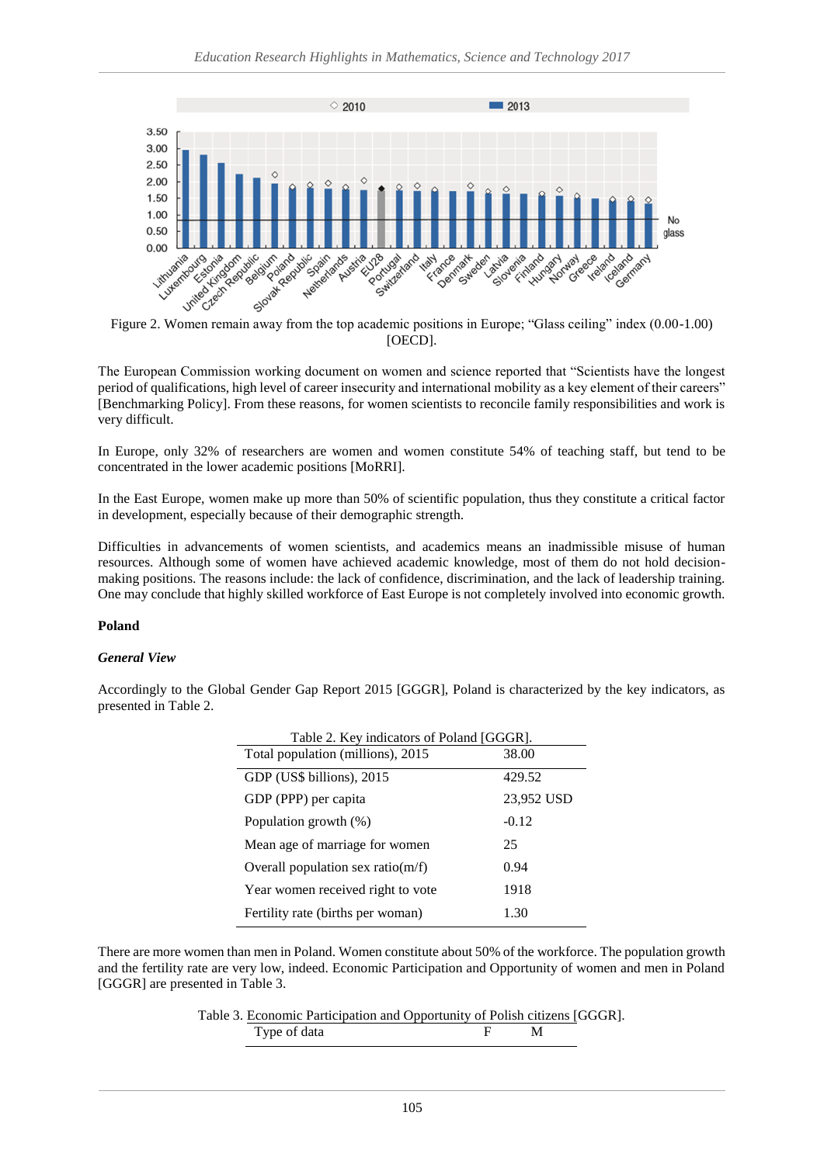

[OECD].

The European Commission working document on women and science reported that "Scientists have the longest period of qualifications, high level of career insecurity and international mobility as a key element of their careers" [Benchmarking Policy]. From these reasons, for women scientists to reconcile family responsibilities and work is very difficult.

In Europe, only 32% of researchers are women and women constitute 54% of teaching staff, but tend to be concentrated in the lower academic positions [MoRRI].

In the East Europe, women make up more than 50% of scientific population, thus they constitute a critical factor in development, especially because of their demographic strength.

Difficulties in advancements of women scientists, and academics means an inadmissible misuse of human resources. Although some of women have achieved academic knowledge, most of them do not hold decisionmaking positions. The reasons include: the lack of confidence, discrimination, and the lack of leadership training. One may conclude that highly skilled workforce of East Europe is not completely involved into economic growth.

# **Poland**

#### *General View*

Accordingly to the Global Gender Gap Report 2015 [GGGR], Poland is characterized by the key indicators, as presented in Table 2.

| Table 2. Key indicators of Poland [GGGR]. |            |  |  |
|-------------------------------------------|------------|--|--|
| Total population (millions), 2015         | 38.00      |  |  |
| GDP (US\$ billions), 2015                 | 429.52     |  |  |
| GDP (PPP) per capita                      | 23,952 USD |  |  |
| Population growth (%)                     | $-0.12$    |  |  |
| Mean age of marriage for women            | 25         |  |  |
| Overall population sex ratio( $m/f$ )     | 0.94       |  |  |
| Year women received right to vote         | 1918       |  |  |
| Fertility rate (births per woman)         | 1.30       |  |  |

There are more women than men in Poland. Women constitute about 50% of the workforce. The population growth and the fertility rate are very low, indeed. Economic Participation and Opportunity of women and men in Poland [GGGR] are presented in Table 3.

Table 3. Economic Participation and Opportunity of Polish citizens [GGGR].

| - |  |  |  |
|---|--|--|--|
|---|--|--|--|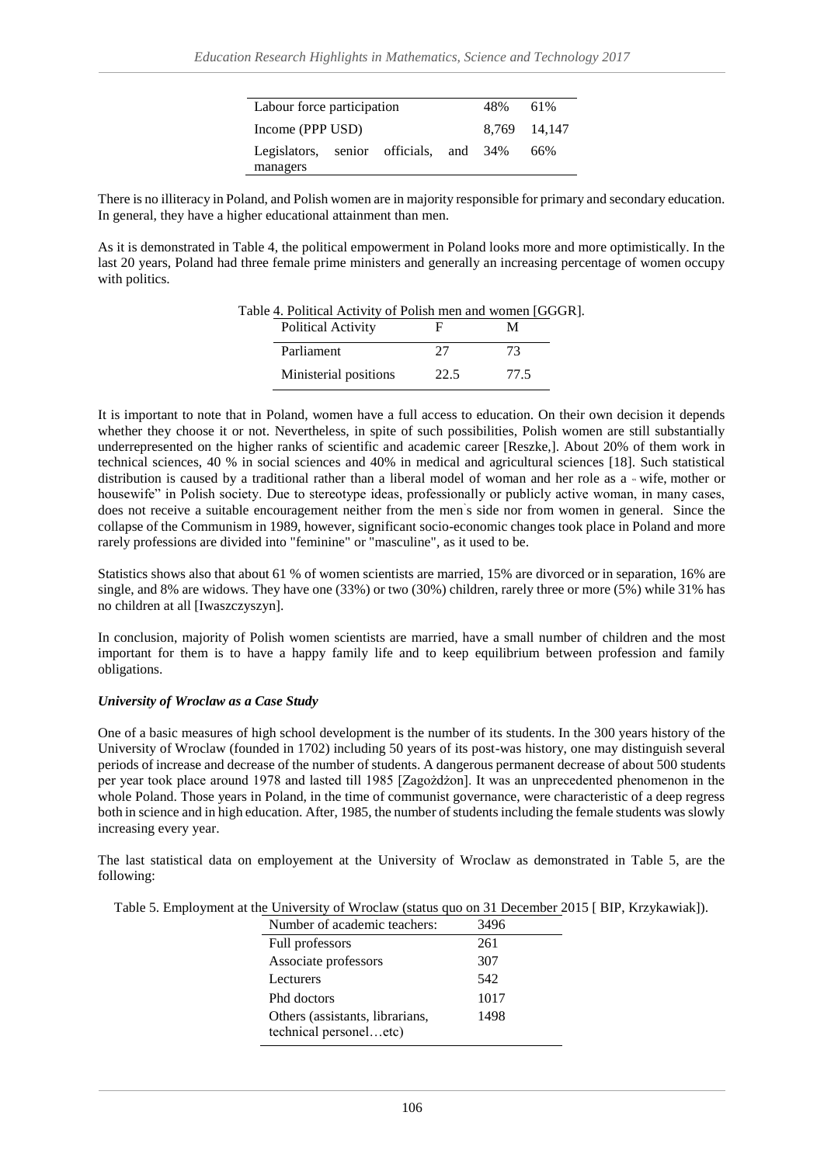| Labour force participation             |  | 48% | 61%          |
|----------------------------------------|--|-----|--------------|
| Income (PPP USD)                       |  |     | 8.769 14.147 |
| Legislators, senior officials, and 34% |  |     | 66%          |
| managers                               |  |     |              |

There is no illiteracy in Poland, and Polish women are in majority responsible for primary and secondary education. In general, they have a higher educational attainment than men.

As it is demonstrated in Table 4, the political empowerment in Poland looks more and more optimistically. In the last 20 years, Poland had three female prime ministers and generally an increasing percentage of women occupy with politics.

Table 4. Political Activity of Polish men and women [GGGR].

| <b>Political Activity</b> |               |      |
|---------------------------|---------------|------|
| Parliament                | $\mathcal{L}$ | 73   |
| Ministerial positions     | 22.5          | 77.5 |

It is important to note that in Poland, women have a full access to education. On their own decision it depends whether they choose it or not. Nevertheless, in spite of such possibilities, Polish women are still substantially underrepresented on the higher ranks of scientific and academic career [Reszke,]. About 20% of them work in technical sciences, 40 % in social sciences and 40% in medical and agricultural sciences [18]. Such statistical distribution is caused by a traditional rather than a liberal model of woman and her role as a « wife, mother or housewife" in Polish society. Due to stereotype ideas, professionally or publicly active woman, in many cases, does not receive a suitable encouragement neither from the men` s side nor from women in general. Since the collapse of the Communism in 1989, however, significant socio-economic changes took place in Poland and more rarely professions are divided into "feminine" or "masculine", as it used to be.

Statistics shows also that about 61 % of women scientists are married, 15% are divorced or in separation, 16% are single, and 8% are widows. They have one (33%) or two (30%) children, rarely three or more (5%) while 31% has no children at all [Iwaszczyszyn].

In conclusion, majority of Polish women scientists are married, have a small number of children and the most important for them is to have a happy family life and to keep equilibrium between profession and family obligations.

#### *University of Wroclaw as a Case Study*

One of a basic measures of high school development is the number of its students. In the 300 years history of the University of Wroclaw (founded in 1702) including 50 years of its post-was history, one may distinguish several periods of increase and decrease of the number of students. A dangerous permanent decrease of about 500 students per year took place around 1978 and lasted till 1985 [Zagożdżon]. It was an unprecedented phenomenon in the whole Poland. Those years in Poland, in the time of communist governance, were characteristic of a deep regress both in science and in high education. After, 1985, the number of students including the female students was slowly increasing every year.

The last statistical data on employement at the University of Wroclaw as demonstrated in Table 5, are the following:

| Table 5. Employment at the University of Wroclaw (status quo on 31 December 2015 [ BIP, Krzykawiak]). |
|-------------------------------------------------------------------------------------------------------|
|-------------------------------------------------------------------------------------------------------|

| Number of academic teachers:                              | 3496 |
|-----------------------------------------------------------|------|
| Full professors                                           | 261  |
| Associate professors                                      | 307  |
| Lecturers                                                 | 542  |
| Phd doctors                                               | 1017 |
| Others (assistants, librarians,<br>technical personeletc) | 1498 |
|                                                           |      |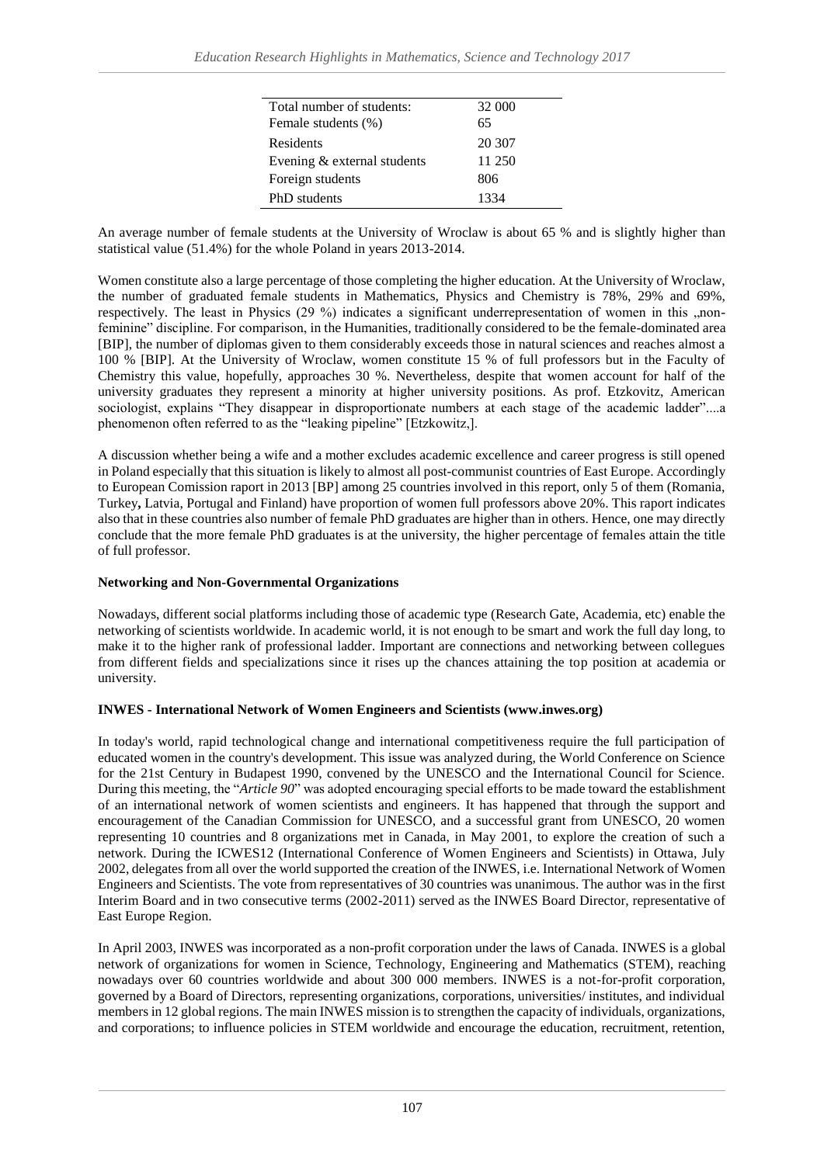| Total number of students:   | 32 000 |
|-----------------------------|--------|
| Female students (%)         | 65     |
| Residents                   | 20 307 |
| Evening & external students | 11 250 |
| Foreign students            | 806    |
| PhD students                | 1334   |

An average number of female students at the University of Wroclaw is about 65 % and is slightly higher than statistical value (51.4%) for the whole Poland in years 2013-2014.

Women constitute also a large percentage of those completing the higher education. At the University of Wroclaw, the number of graduated female students in Mathematics, Physics and Chemistry is 78%, 29% and 69%, respectively. The least in Physics (29 %) indicates a significant underrepresentation of women in this "nonfeminine" discipline. For comparison, in the Humanities, traditionally considered to be the female-dominated area [BIP], the number of diplomas given to them considerably exceeds those in natural sciences and reaches almost a 100 % [BIP]. At the University of Wroclaw, women constitute 15 % of full professors but in the Faculty of Chemistry this value, hopefully, approaches 30 %. Nevertheless, despite that women account for half of the university graduates they represent a minority at higher university positions. As prof. Etzkovitz, American sociologist, explains "They disappear in disproportionate numbers at each stage of the academic ladder"....a phenomenon often referred to as the "leaking pipeline" [Etzkowitz,].

A discussion whether being a wife and a mother excludes academic excellence and career progress is still opened in Poland especially that this situation is likely to almost all post-communist countries of East Europe. Accordingly to European Comission raport in 2013 [BP] among 25 countries involved in this report, only 5 of them (Romania, Turkey**,** Latvia, Portugal and Finland) have proportion of women full professors above 20%. This raport indicates also that in these countries also number of female PhD graduates are higher than in others. Hence, one may directly conclude that the more female PhD graduates is at the university, the higher percentage of females attain the title of full professor.

# **Networking and Non-Governmental Organizations**

Nowadays, different social platforms including those of academic type (Research Gate, Academia, etc) enable the networking of scientists worldwide. In academic world, it is not enough to be smart and work the full day long, to make it to the higher rank of professional ladder. Important are connections and networking between collegues from different fields and specializations since it rises up the chances attaining the top position at academia or university.

# **INWES - International Network of Women Engineers and Scientists (www.inwes.org)**

In today's world, rapid technological change and international competitiveness require the full participation of educated women in the country's development. This issue was analyzed during, the World Conference on Science for the 21st Century in Budapest 1990, convened by the UNESCO and the International Council for Science. During this meeting, the "*Article 90*" was adopted encouraging special efforts to be made toward the establishment of an international network of women scientists and engineers. It has happened that through the support and encouragement of the Canadian Commission for UNESCO, and a successful grant from UNESCO, 20 women representing 10 countries and 8 organizations met in Canada, in May 2001, to explore the creation of such a network. During the ICWES12 (International Conference of Women Engineers and Scientists) in Ottawa, July 2002, delegates from all over the world supported the creation of the INWES, i.e. International Network of Women Engineers and Scientists. The vote from representatives of 30 countries was unanimous. The author was in the first Interim Board and in two consecutive terms (2002-2011) served as the INWES Board Director, representative of East Europe Region.

In April 2003, INWES was incorporated as a non-profit corporation under the laws of Canada. INWES is a global network of organizations for women in Science, Technology, Engineering and Mathematics (STEM), reaching nowadays over 60 countries worldwide and about 300 000 members. INWES is a not-for-profit corporation, governed by a Board of Directors, representing organizations, corporations, universities/ institutes, and individual members in 12 global regions. The main INWES mission is to strengthen the capacity of individuals, organizations, and corporations; to influence policies in STEM worldwide and encourage the education, recruitment, retention,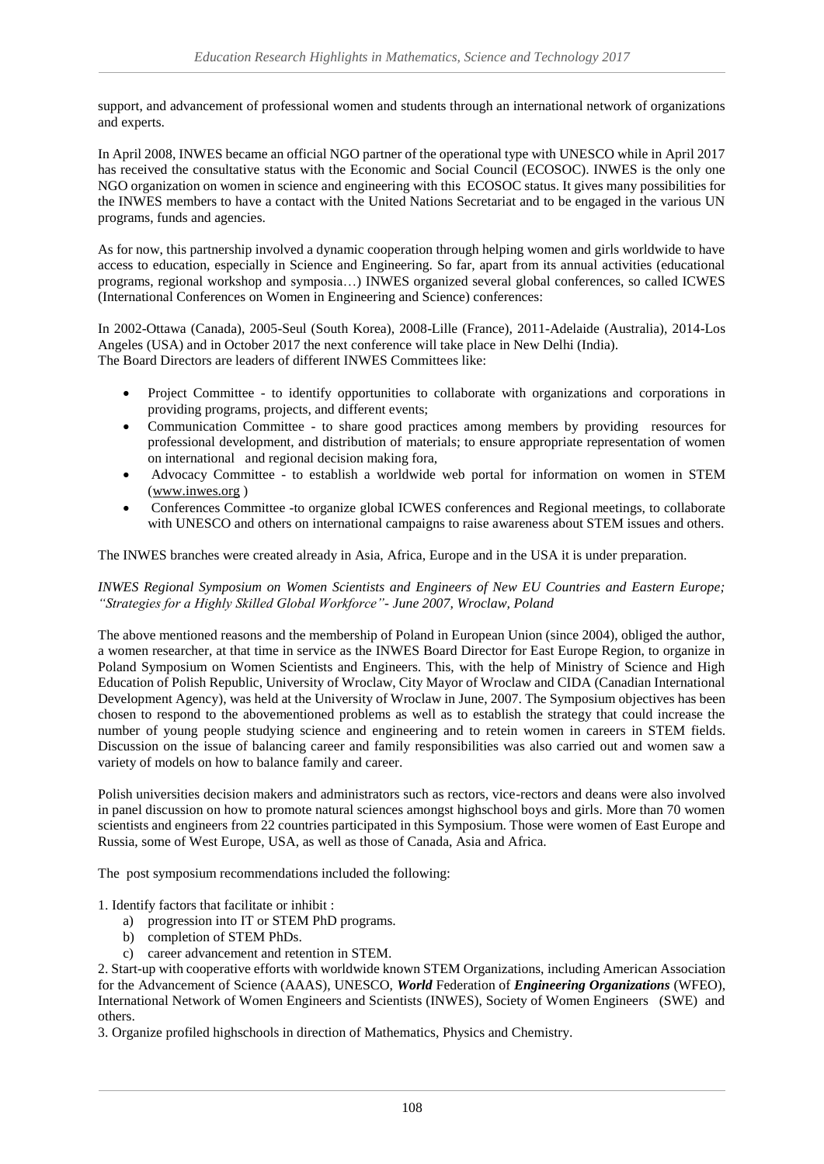support, and advancement of professional women and students through an international network of organizations and experts.

In April 2008, INWES became an official NGO partner of the operational type with UNESCO while in April 2017 has received the consultative status with the Economic and Social Council (ECOSOC). INWES is the only one NGO organization on women in science and engineering with this ECOSOC status. It gives many possibilities for the INWES members to have a contact with the United Nations Secretariat and to be engaged in the various UN programs, funds and agencies.

As for now, this partnership involved a dynamic cooperation through helping women and girls worldwide to have access to education, especially in Science and Engineering. So far, apart from its annual activities (educational programs, regional workshop and symposia…) INWES organized several global conferences, so called ICWES (International Conferences on Women in Engineering and Science) conferences:

In 2002-Ottawa (Canada), 2005-Seul (South Korea), 2008-Lille (France), 2011-Adelaide (Australia), 2014-Los Angeles (USA) and in October 2017 the next conference will take place in New Delhi (India). The Board Directors are leaders of different INWES Committees like:

- Project Committee to identify opportunities to collaborate with organizations and corporations in providing programs, projects, and different events;
- Communication Committee to share good practices among members by providing resources for professional development, and distribution of materials; to ensure appropriate representation of women on international and regional decision making fora,
- Advocacy Committee to establish a worldwide web portal for information on women in STEM [\(www.inwes.org](http://www.inwes.org/) )
- Conferences Committee -to organize global ICWES conferences and Regional meetings, to collaborate with UNESCO and others on international campaigns to raise awareness about STEM issues and others.

The INWES branches were created already in Asia, Africa, Europe and in the USA it is under preparation.

*INWES Regional Symposium on Women Scientists and Engineers of New EU Countries and Eastern Europe; "Strategies for a Highly Skilled Global Workforce"- June 2007, Wroclaw, Poland*

The above mentioned reasons and the membership of Poland in European Union (since 2004), obliged the author, a women researcher, at that time in service as the INWES Board Director for East Europe Region, to organize in Poland Symposium on Women Scientists and Engineers. This, with the help of Ministry of Science and High Education of Polish Republic, University of Wroclaw, City Mayor of Wroclaw and CIDA (Canadian International Development Agency), was held at the University of Wroclaw in June, 2007. The Symposium objectives has been chosen to respond to the abovementioned problems as well as to establish the strategy that could increase the number of young people studying science and engineering and to retein women in careers in STEM fields. Discussion on the issue of balancing career and family responsibilities was also carried out and women saw a variety of models on how to balance family and career.

Polish universities decision makers and administrators such as rectors, vice-rectors and deans were also involved in panel discussion on how to promote natural sciences amongst highschool boys and girls. More than 70 women scientists and engineers from 22 countries participated in this Symposium. Those were women of East Europe and Russia, some of West Europe, USA, as well as those of Canada, Asia and Africa.

The post symposium recommendations included the following:

1. Identify factors that facilitate or inhibit :

- a) progression into IT or STEM PhD programs.
- b) completion of STEM PhDs.
- c) career advancement and retention in STEM.

2. Start-up with cooperative efforts with worldwide known STEM Organizations, including American Association for the Advancement of Science (AAAS), UNESCO, *World* Federation of *Engineering Organizations* (WFEO), International Network of Women Engineers and Scientists (INWES), Society of Women Engineers (SWE) and others.

3. Organize profiled highschools in direction of Mathematics, Physics and Chemistry.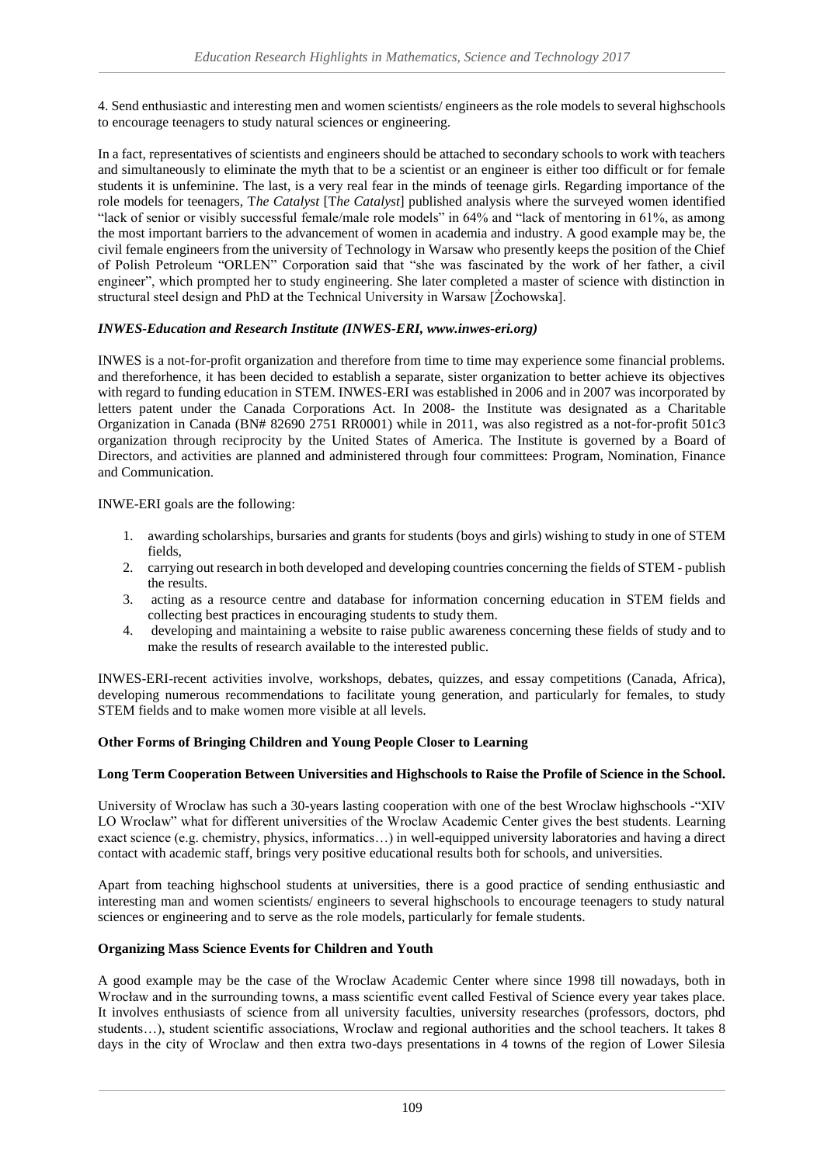4. Send enthusiastic and interesting men and women scientists/ engineers as the role models to several highschools to encourage teenagers to study natural sciences or engineering.

In a fact, representatives of scientists and engineers should be attached to secondary schools to work with teachers and simultaneously to eliminate the myth that to be a scientist or an engineer is either too difficult or for female students it is unfeminine. The last, is a very real fear in the minds of teenage girls. Regarding importance of the role models for teenagers, T*he Catalyst* [T*he Catalyst*] published analysis where the surveyed women identified "lack of senior or visibly successful female/male role models" in 64% and "lack of mentoring in 61%, as among the most important barriers to the advancement of women in academia and industry. A good example may be, the civil female engineers from the university of Technology in Warsaw who presently keeps the position of the Chief of Polish Petroleum "ORLEN" Corporation said that "she was fascinated by the work of her father, a civil engineer", which prompted her to study engineering. She later completed a master of science with distinction in structural steel design and PhD at the Technical University in Warsaw [Żochowska].

# *INWES-Education and Research Institute (INWES-ERI, www.inwes-eri.org)*

INWES is a not-for-profit organization and therefore from time to time may experience some financial problems. and thereforhence, it has been decided to establish a separate, sister organization to better achieve its objectives with regard to funding education in STEM. INWES-ERI was established in 2006 and in 2007 was incorporated by letters patent under the Canada Corporations Act. In 2008- the Institute was designated as a Charitable Organization in Canada (BN# 82690 2751 RR0001) while in 2011, was also registred as a not-for-profit 501c3 organization through reciprocity by the United States of America. The Institute is governed by a Board of Directors, and activities are planned and administered through four committees: Program, Nomination, Finance and Communication.

INWE-ERI goals are the following:

- 1. awarding scholarships, bursaries and grants for students (boys and girls) wishing to study in one of STEM fields,
- 2. carrying out research in both developed and developing countries concerning the fields of STEM publish the results.
- 3. acting as a resource centre and database for information concerning education in STEM fields and collecting best practices in encouraging students to study them.
- 4. developing and maintaining a website to raise public awareness concerning these fields of study and to make the results of research available to the interested public.

INWES-ERI-recent activities involve, workshops, debates, quizzes, and essay competitions (Canada, Africa), developing numerous recommendations to facilitate young generation, and particularly for females, to study STEM fields and to make women more visible at all levels.

# **Other Forms of Bringing Children and Young People Closer to Learning**

# **Long Term Cooperation Between Universities and Highschools to Raise the Profile of Science in the School.**

University of Wroclaw has such a 30-years lasting cooperation with one of the best Wroclaw highschools -"XIV LO Wroclaw" what for different universities of the Wroclaw Academic Center gives the best students. Learning exact science (e.g. chemistry, physics, informatics…) in well-equipped university laboratories and having a direct contact with academic staff, brings very positive educational results both for schools, and universities.

Apart from teaching highschool students at universities, there is a good practice of sending enthusiastic and interesting man and women scientists/ engineers to several highschools to encourage teenagers to study natural sciences or engineering and to serve as the role models, particularly for female students.

# **Organizing Mass Science Events for Children and Youth**

A good example may be the case of the Wroclaw Academic Center where since 1998 till nowadays, both in Wrocław and in the surrounding towns, a mass scientific event called Festival of Science every year takes place. It involves enthusiasts of science from all university faculties, university researches (professors, doctors, phd students…), student scientific associations, Wroclaw and regional authorities and the school teachers. It takes 8 days in the city of Wroclaw and then extra two-days presentations in 4 towns of the region of Lower Silesia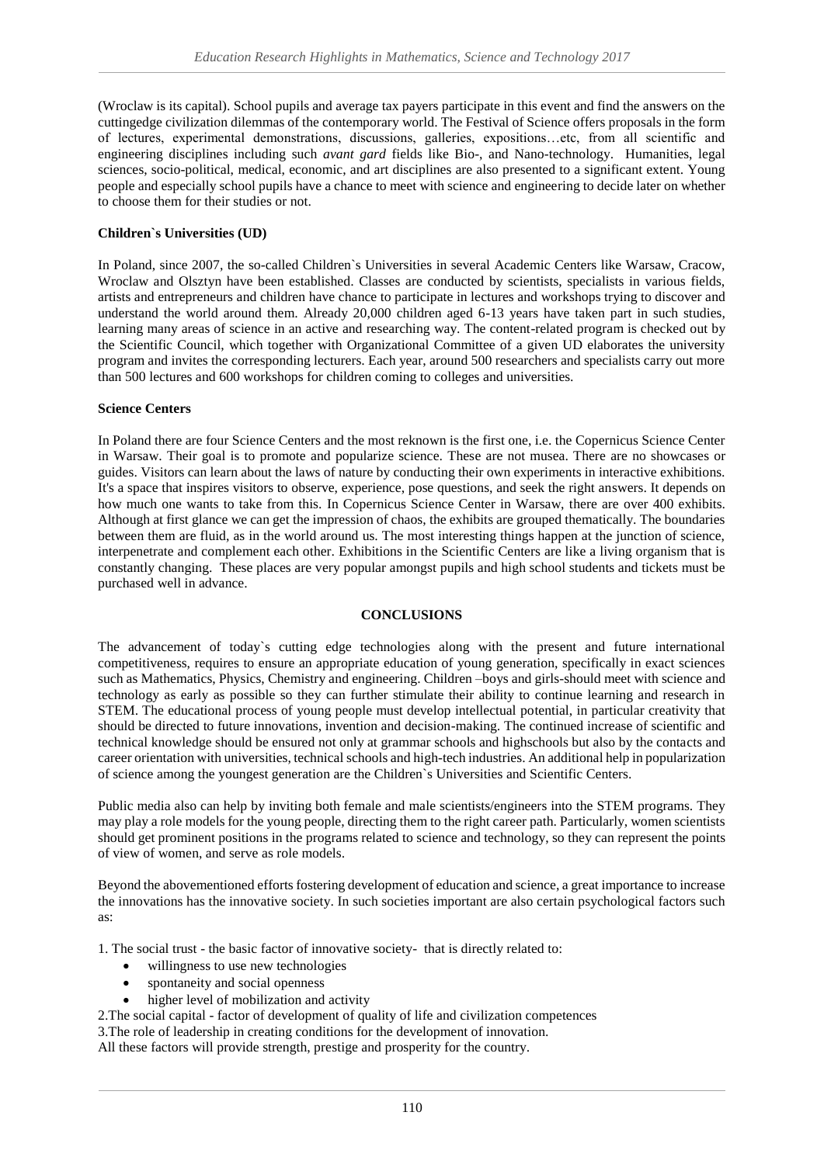(Wroclaw is its capital). School pupils and average tax payers participate in this event and find the answers on the cuttingedge civilization dilemmas of the contemporary world. The Festival of Science offers proposals in the form of lectures, experimental demonstrations, discussions, galleries, expositions…etc, from all scientific and engineering disciplines including such *avant gard* fields like Bio-, and Nano-technology. Humanities, legal sciences, socio-political, medical, economic, and art disciplines are also presented to a significant extent. Young people and especially school pupils have a chance to meet with science and engineering to decide later on whether to choose them for their studies or not.

# **Children`s Universities (UD)**

In Poland, since 2007, the so-called Children`s Universities in several Academic Centers like Warsaw, Cracow, Wroclaw and Olsztyn have been established. Classes are conducted by scientists, specialists in various fields, artists and entrepreneurs and children have chance to participate in lectures and workshops trying to discover and understand the world around them. Already 20,000 children aged 6-13 years have taken part in such studies, learning many areas of science in an active and researching way. The content-related program is checked out by the Scientific Council, which together with Organizational Committee of a given UD elaborates the university program and invites the corresponding lecturers. Each year, around 500 researchers and specialists carry out more than 500 lectures and 600 workshops for children coming to colleges and universities.

#### **Science Centers**

In Poland there are four Science Centers and the most reknown is the first one, i.e. the Copernicus Science Center in Warsaw. Their goal is to promote and popularize science. These are not musea. There are no showcases or guides. Visitors can learn about the laws of nature by conducting their own experiments in interactive exhibitions. It's a space that inspires visitors to observe, experience, pose questions, and seek the right answers. It depends on how much one wants to take from this. In Copernicus Science Center in Warsaw, there are over 400 exhibits. Although at first glance we can get the impression of chaos, the exhibits are grouped thematically. The boundaries between them are fluid, as in the world around us. The most interesting things happen at the junction of science, interpenetrate and complement each other. Exhibitions in the Scientific Centers are like a living organism that is constantly changing. These places are very popular amongst pupils and high school students and tickets must be purchased well in advance.

#### **CONCLUSIONS**

The advancement of today`s cutting edge technologies along with the present and future international competitiveness, requires to ensure an appropriate education of young generation, specifically in exact sciences such as Mathematics, Physics, Chemistry and engineering. Children –boys and girls-should meet with science and technology as early as possible so they can further stimulate their ability to continue learning and research in STEM. The educational process of young people must develop intellectual potential, in particular creativity that should be directed to future innovations, invention and decision-making. The continued increase of scientific and technical knowledge should be ensured not only at grammar schools and highschools but also by the contacts and career orientation with universities, technical schools and high-tech industries. An additional help in popularization of science among the youngest generation are the Children`s Universities and Scientific Centers.

Public media also can help by inviting both female and male scientists/engineers into the STEM programs. They may play a role models for the young people, directing them to the right career path. Particularly, women scientists should get prominent positions in the programs related to science and technology, so they can represent the points of view of women, and serve as role models.

Beyond the abovementioned efforts fostering development of education and science, a great importance to increase the innovations has the innovative society. In such societies important are also certain psychological factors such as:

1. The social trust - the basic factor of innovative society- that is directly related to:

- willingness to use new technologies
- spontaneity and social openness
- higher level of mobilization and activity
- 2.The social capital factor of development of quality of life and civilization competences

3.The role of leadership in creating conditions for the development of innovation.

All these factors will provide strength, prestige and prosperity for the country.